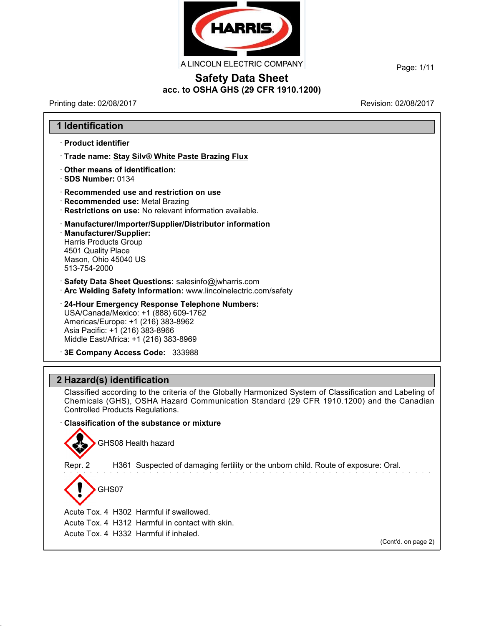

A LINCOLN ELECTRIC COMPANY

Page: 1/11

 $\overline{\phantom{a}}$ 

# **Safety Data Sheet acc. to OSHA GHS (29 CFR 1910.1200)**

Printing date: 02/08/2017 **Printing date: 02/08/2017** 

| · Product identifier                                                                                                   |                                                                                                                                                                                                     |
|------------------------------------------------------------------------------------------------------------------------|-----------------------------------------------------------------------------------------------------------------------------------------------------------------------------------------------------|
|                                                                                                                        |                                                                                                                                                                                                     |
|                                                                                                                        | Trade name: Stay Silv® White Paste Brazing Flux                                                                                                                                                     |
| Other means of identification:<br>SDS Number: 0134                                                                     |                                                                                                                                                                                                     |
| · Recommended use: Metal Brazing                                                                                       | Recommended use and restriction on use<br>· Restrictions on use: No relevant information available.                                                                                                 |
| · Manufacturer/Supplier:<br><b>Harris Products Group</b><br>4501 Quality Place<br>Mason, Ohio 45040 US<br>513-754-2000 | · Manufacturer/Importer/Supplier/Distributor information                                                                                                                                            |
|                                                                                                                        | Safety Data Sheet Questions: salesinfo@jwharris.com<br>· Arc Welding Safety Information: www.lincolnelectric.com/safety                                                                             |
| Asia Pacific: +1 (216) 383-8966                                                                                        | 24-Hour Emergency Response Telephone Numbers:<br>USA/Canada/Mexico: +1 (888) 609-1762<br>Americas/Europe: +1 (216) 383-8962<br>Middle East/Africa: +1 (216) 383-8969                                |
|                                                                                                                        | 3E Company Access Code: 333988                                                                                                                                                                      |
|                                                                                                                        |                                                                                                                                                                                                     |
|                                                                                                                        |                                                                                                                                                                                                     |
| 2 Hazard(s) identification<br><b>Controlled Products Regulations.</b>                                                  | Classified according to the criteria of the Globally Harmonized System of Classification and Labeling of<br>Chemicals (GHS), OSHA Hazard Communication Standard (29 CFR 1910.1200) and the Canadian |
|                                                                                                                        | Classification of the substance or mixture                                                                                                                                                          |
|                                                                                                                        | GHS08 Health hazard                                                                                                                                                                                 |
| Repr. 2                                                                                                                | H361 Suspected of damaging fertility or the unborn child. Route of exposure: Oral.                                                                                                                  |
| GHS07                                                                                                                  |                                                                                                                                                                                                     |
|                                                                                                                        | Acute Tox. 4 H302 Harmful if swallowed.                                                                                                                                                             |
|                                                                                                                        | Acute Tox. 4 H312 Harmful in contact with skin.                                                                                                                                                     |
|                                                                                                                        | Acute Tox. 4 H332 Harmful if inhaled.<br>(Cont'd. on page 2)                                                                                                                                        |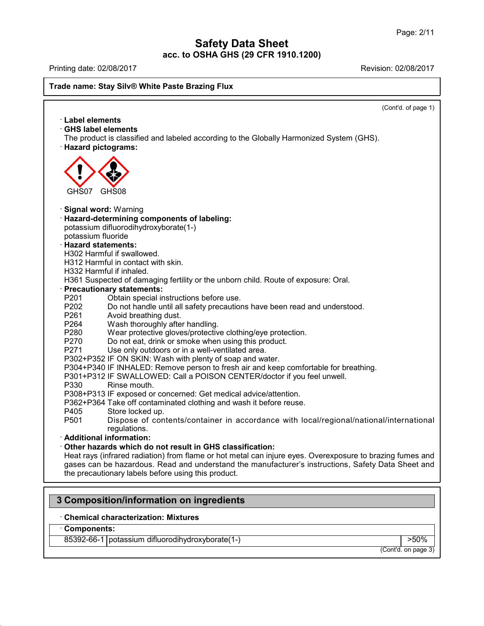Printing date: 02/08/2017 Revision: 02/08/2017

### **Trade name: Stay Silv® White Paste Brazing Flux**

(Cont'd. of page 1) · **Label elements** · **GHS label elements** The product is classified and labeled according to the Globally Harmonized System (GHS). · **Hazard pictograms:** GHS07 GHS08 · **Signal word:** Warning · **Hazard-determining components of labeling:** potassium difluorodihydroxyborate(1-) potassium fluoride · **Hazard statements:** H302 Harmful if swallowed. H312 Harmful in contact with skin. H332 Harmful if inhaled. H361 Suspected of damaging fertility or the unborn child. Route of exposure: Oral. · **Precautionary statements:** P201 Obtain special instructions before use. P202 Do not handle until all safety precautions have been read and understood.<br>P261 Avoid breathing dust. Avoid breathing dust. P264 Wash thoroughly after handling.<br>P280 Wear protective gloves/protective P280 Wear protective gloves/protective clothing/eye protection.<br>P270 Do not eat, drink or smoke when using this product. Do not eat, drink or smoke when using this product. P271 Use only outdoors or in a well-ventilated area. P302+P352 IF ON SKIN: Wash with plenty of soap and water. P304+P340 IF INHALED: Remove person to fresh air and keep comfortable for breathing. P301+P312 IF SWALLOWED: Call a POISON CENTER/doctor if you feel unwell. P330 Rinse mouth. P308+P313 IF exposed or concerned: Get medical advice/attention. P362+P364 Take off contaminated clothing and wash it before reuse. P405 Store locked up.<br>P501 Dispose of con Dispose of contents/container in accordance with local/regional/national/international regulations. · **Additional information:** · **Other hazards which do not result in GHS classification:** Heat rays (infrared radiation) from flame or hot metal can injure eyes. Overexposure to brazing fumes and gases can be hazardous. Read and understand the manufacturer's instructions, Safety Data Sheet and the precautionary labels before using this product.

# **3 Composition/information on ingredients**

## · **Chemical characterization: Mixtures**

#### · **Components:**

44.0

85392-66-1 potassium difluorodihydroxyborate(1-)  $\vert$  >50%

(Cont'd. on page 3)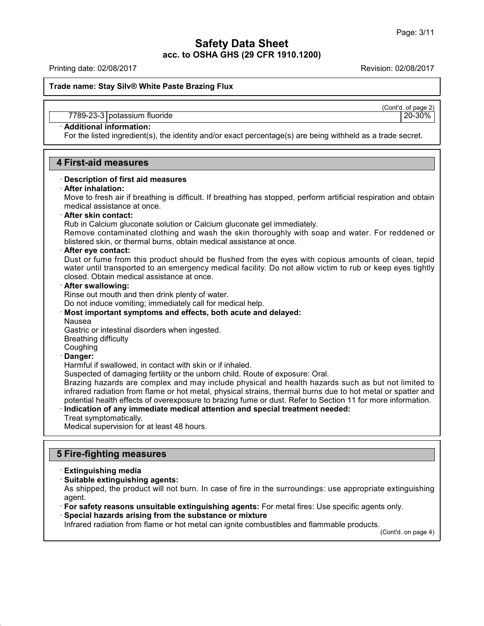Printing date: 02/08/2017 Revision: 02/08/2017

**Trade name: Stay Silv® White Paste Brazing Flux**

(Cont'd. of page 2)

#### 7789-23-3 potassium fluoride 20-30%

## · **Additional information:**

For the listed ingredient(s), the identity and/or exact percentage(s) are being withheld as a trade secret.

## **4 First-aid measures**

#### · **Description of first aid measures**

#### · **After inhalation:**

Move to fresh air if breathing is difficult. If breathing has stopped, perform artificial respiration and obtain medical assistance at once.

#### · **After skin contact:**

Rub in Calcium gluconate solution or Calcium gluconate gel immediately.

Remove contaminated clothing and wash the skin thoroughly with soap and water. For reddened or blistered skin, or thermal burns, obtain medical assistance at once.

#### · **After eye contact:**

Dust or fume from this product should be flushed from the eyes with copious amounts of clean, tepid water until transported to an emergency medical facility. Do not allow victim to rub or keep eyes tightly closed. Obtain medical assistance at once.

#### · **After swallowing:**

Rinse out mouth and then drink plenty of water.

Do not induce vomiting; immediately call for medical help.

# · **Most important symptoms and effects, both acute and delayed:**

Nausea

Gastric or intestinal disorders when ingested.

Breathing difficulty

## **Coughing**

## · **Danger:**

Harmful if swallowed, in contact with skin or if inhaled.

Suspected of damaging fertility or the unborn child. Route of exposure: Oral.

Brazing hazards are complex and may include physical and health hazards such as but not limited to infrared radiation from flame or hot metal, physical strains, thermal burns due to hot metal or spatter and potential health effects of overexposure to brazing fume or dust. Refer to Section 11 for more information.

· **Indication of any immediate medical attention and special treatment needed:** Treat symptomatically.

Medical supervision for at least 48 hours.

## **5 Fire-fighting measures**

· **Extinguishing media**

44.0

· **Suitable extinguishing agents:**

As shipped, the product will not burn. In case of fire in the surroundings: use appropriate extinguishing agent.

· **For safety reasons unsuitable extinguishing agents:** For metal fires: Use specific agents only.

### · **Special hazards arising from the substance or mixture**

Infrared radiation from flame or hot metal can ignite combustibles and flammable products.

(Cont'd. on page 4)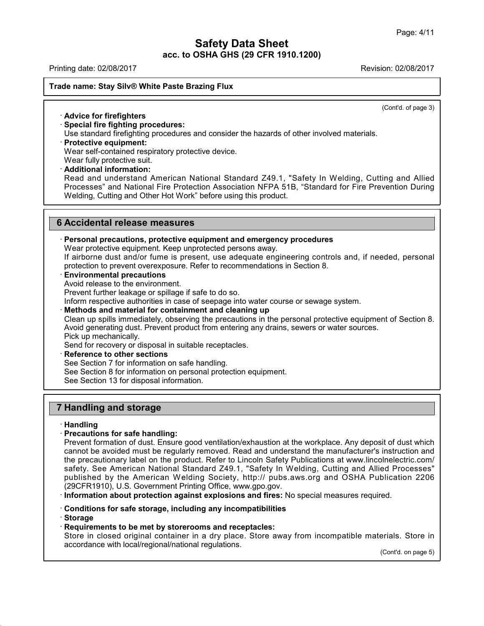Printing date: 02/08/2017 Revision: 02/08/2017

### **Trade name: Stay Silv® White Paste Brazing Flux**

(Cont'd. of page 3)

## · **Advice for firefighters**

## · **Special fire fighting procedures:**

Use standard firefighting procedures and consider the hazards of other involved materials.

· **Protective equipment:**

Wear self-contained respiratory protective device.

Wear fully protective suit.

#### · **Additional information:**

Read and understand American National Standard Z49.1, "Safety In Welding, Cutting and Allied Processes" and National Fire Protection Association NFPA 51B, "Standard for Fire Prevention During Welding, Cutting and Other Hot Work" before using this product.

## **6 Accidental release measures**

#### · **Personal precautions, protective equipment and emergency procedures**

Wear protective equipment. Keep unprotected persons away.

If airborne dust and/or fume is present, use adequate engineering controls and, if needed, personal protection to prevent overexposure. Refer to recommendations in Section 8.

· **Environmental precautions**

Avoid release to the environment.

Prevent further leakage or spillage if safe to do so.

Inform respective authorities in case of seepage into water course or sewage system.

· **Methods and material for containment and cleaning up**

Clean up spills immediately, observing the precautions in the personal protective equipment of Section 8. Avoid generating dust. Prevent product from entering any drains, sewers or water sources. Pick up mechanically.

Send for recovery or disposal in suitable receptacles.

- · **Reference to other sections**
- See Section 7 for information on safe handling.
- See Section 8 for information on personal protection equipment.

See Section 13 for disposal information.

## **7 Handling and storage**

### · **Handling**

### · **Precautions for safe handling:**

Prevent formation of dust. Ensure good ventilation/exhaustion at the workplace. Any deposit of dust which cannot be avoided must be regularly removed. Read and understand the manufacturer's instruction and the precautionary label on the product. Refer to Lincoln Safety Publications at www.lincolnelectric.com/ safety. See American National Standard Z49.1, "Safety In Welding, Cutting and Allied Processes" published by the American Welding Society, http:// pubs.aws.org and OSHA Publication 2206 (29CFR1910), U.S. Government Printing Office, www.gpo.gov.

· **Information about protection against explosions and fires:** No special measures required.

### · **Conditions for safe storage, including any incompatibilities**

· **Storage**

44.0

### · **Requirements to be met by storerooms and receptacles:**

Store in closed original container in a dry place. Store away from incompatible materials. Store in accordance with local/regional/national regulations.

(Cont'd. on page 5)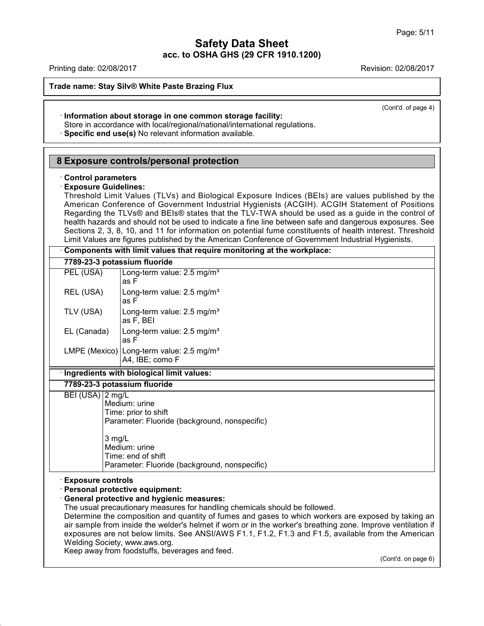| Printing date: 02/08/2017                                 |                                                                                                                                                                                                                                                                                                                                                                                                                                                                                                                                                                                                                                      | Revision: 02/08/2017 |
|-----------------------------------------------------------|--------------------------------------------------------------------------------------------------------------------------------------------------------------------------------------------------------------------------------------------------------------------------------------------------------------------------------------------------------------------------------------------------------------------------------------------------------------------------------------------------------------------------------------------------------------------------------------------------------------------------------------|----------------------|
|                                                           | Trade name: Stay Silv® White Paste Brazing Flux                                                                                                                                                                                                                                                                                                                                                                                                                                                                                                                                                                                      |                      |
|                                                           | · Information about storage in one common storage facility:<br>Store in accordance with local/regional/national/international regulations.<br>· Specific end use(s) No relevant information available.                                                                                                                                                                                                                                                                                                                                                                                                                               | (Cont'd. of page 4)  |
|                                                           | 8 Exposure controls/personal protection                                                                                                                                                                                                                                                                                                                                                                                                                                                                                                                                                                                              |                      |
| <b>Control parameters</b><br><b>Exposure Guidelines:</b>  | Threshold Limit Values (TLVs) and Biological Exposure Indices (BEIs) are values published by the<br>American Conference of Government Industrial Hygienists (ACGIH). ACGIH Statement of Positions<br>Regarding the TLVs® and BEIs® states that the TLV-TWA should be used as a guide in the control of<br>health hazards and should not be used to indicate a fine line between safe and dangerous exposures. See<br>Sections 2, 3, 8, 10, and 11 for information on potential fume constituents of health interest. Threshold<br>Limit Values are figures published by the American Conference of Government Industrial Hygienists. |                      |
|                                                           | Components with limit values that require monitoring at the workplace:                                                                                                                                                                                                                                                                                                                                                                                                                                                                                                                                                               |                      |
| 7789-23-3 potassium fluoride                              |                                                                                                                                                                                                                                                                                                                                                                                                                                                                                                                                                                                                                                      |                      |
| PEL (USA)<br>REL (USA)                                    | Long-term value: 2.5 mg/m <sup>3</sup><br>as F<br>Long-term value: 2.5 mg/m <sup>3</sup>                                                                                                                                                                                                                                                                                                                                                                                                                                                                                                                                             |                      |
| TLV (USA)                                                 | as F<br>Long-term value: 2.5 mg/m <sup>3</sup>                                                                                                                                                                                                                                                                                                                                                                                                                                                                                                                                                                                       |                      |
| EL (Canada)                                               | as F, BEI<br>Long-term value: 2.5 mg/m <sup>3</sup><br>as F                                                                                                                                                                                                                                                                                                                                                                                                                                                                                                                                                                          |                      |
|                                                           | LMPE (Mexico) Long-term value: 2.5 mg/m <sup>3</sup><br>A4, IBE; como F                                                                                                                                                                                                                                                                                                                                                                                                                                                                                                                                                              |                      |
|                                                           | · Ingredients with biological limit values:                                                                                                                                                                                                                                                                                                                                                                                                                                                                                                                                                                                          |                      |
| 7789-23-3 potassium fluoride                              |                                                                                                                                                                                                                                                                                                                                                                                                                                                                                                                                                                                                                                      |                      |
| BEI (USA) 2 mg/L<br>3 mg/L                                | Medium: urine<br>Time: prior to shift<br>Parameter: Fluoride (background, nonspecific)<br>Medium: urine<br>Time: end of shift<br>Parameter: Fluoride (background, nonspecific)                                                                                                                                                                                                                                                                                                                                                                                                                                                       |                      |
| <b>Exposure controls</b><br>Welding Society, www.aws.org. | · Personal protective equipment:<br><b>General protective and hygienic measures:</b><br>The usual precautionary measures for handling chemicals should be followed.<br>Determine the composition and quantity of fumes and gases to which workers are exposed by taking an<br>air sample from inside the welder's helmet if worn or in the worker's breathing zone. Improve ventilation if<br>exposures are not below limits. See ANSI/AWS F1.1, F1.2, F1.3 and F1.5, available from the American<br>Keep away from foodstuffs, beverages and feed.                                                                                  | (Cont'd. on page 6)  |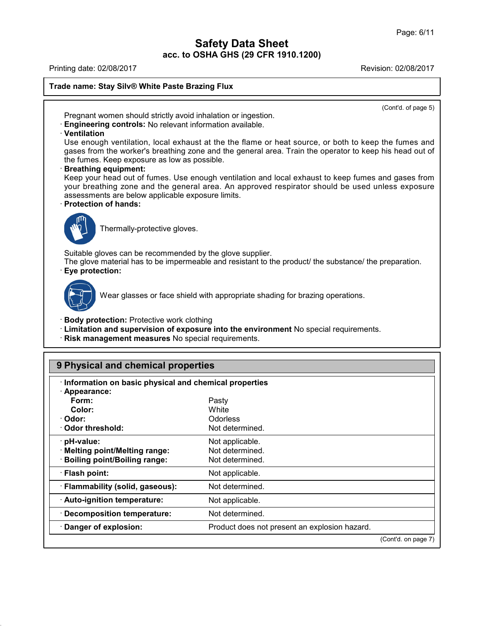Printing date: 02/08/2017 Revision: 02/08/2017 **Trade name: Stay Silv® White Paste Brazing Flux** (Cont'd. of page 5) Pregnant women should strictly avoid inhalation or ingestion. · **Engineering controls:** No relevant information available. · **Ventilation** Use enough ventilation, local exhaust at the the flame or heat source, or both to keep the fumes and gases from the worker's breathing zone and the general area. Train the operator to keep his head out of the fumes. Keep exposure as low as possible. · **Breathing equipment:** Keep your head out of fumes. Use enough ventilation and local exhaust to keep fumes and gases from your breathing zone and the general area. An approved respirator should be used unless exposure assessments are below applicable exposure limits. · **Protection of hands:** Thermally-protective gloves. Suitable gloves can be recommended by the glove supplier. The glove material has to be impermeable and resistant to the product/ the substance/ the preparation. · **Eye protection:** Wear glasses or face shield with appropriate shading for brazing operations. · **Body protection:** Protective work clothing · **Limitation and supervision of exposure into the environment** No special requirements. · **Risk management measures** No special requirements. **9 Physical and chemical properties**

| · Appearance:                    |                                               |  |
|----------------------------------|-----------------------------------------------|--|
| Form:                            | Pasty                                         |  |
| Color:                           | White                                         |  |
| · Odor:                          | <b>Odorless</b>                               |  |
| ⋅ Odor threshold:                | Not determined.                               |  |
| · pH-value:                      | Not applicable.                               |  |
| · Melting point/Melting range:   | Not determined.                               |  |
| · Boiling point/Boiling range:   | Not determined.                               |  |
| · Flash point:                   | Not applicable.                               |  |
| · Flammability (solid, gaseous): | Not determined.                               |  |
| · Auto-ignition temperature:     | Not applicable.                               |  |
| · Decomposition temperature:     | Not determined.                               |  |
| · Danger of explosion:           | Product does not present an explosion hazard. |  |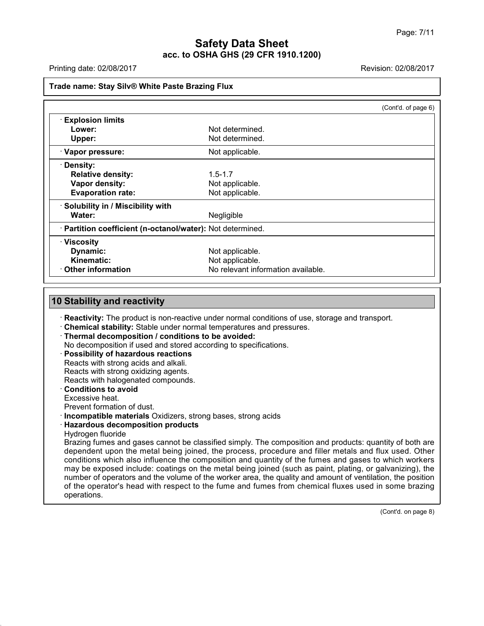Printing date: 02/08/2017 Revision: 02/08/2017

**Trade name: Stay Silv® White Paste Brazing Flux**

|                                                            |                                    | (Cont'd. of page 6) |
|------------------------------------------------------------|------------------------------------|---------------------|
| <b>Explosion limits</b>                                    |                                    |                     |
| Lower:                                                     | Not determined.                    |                     |
| Upper:                                                     | Not determined.                    |                     |
| · Vapor pressure:                                          | Not applicable.                    |                     |
| · Density:                                                 |                                    |                     |
| <b>Relative density:</b>                                   | $1.5 - 1.7$                        |                     |
| Vapor density:                                             | Not applicable.                    |                     |
| <b>Evaporation rate:</b>                                   | Not applicable.                    |                     |
| · Solubility in / Miscibility with                         |                                    |                     |
| Water:                                                     | Negligible                         |                     |
| · Partition coefficient (n-octanol/water): Not determined. |                                    |                     |
| $\cdot$ Viscosity                                          |                                    |                     |
| Dynamic:                                                   | Not applicable.                    |                     |
| Kinematic:                                                 | Not applicable.                    |                     |
| $\cdot$ Other information                                  | No relevant information available. |                     |

## **10 Stability and reactivity**

· **Reactivity:** The product is non-reactive under normal conditions of use, storage and transport.

· **Chemical stability:** Stable under normal temperatures and pressures.

· **Thermal decomposition / conditions to be avoided:**

No decomposition if used and stored according to specifications.

· **Possibility of hazardous reactions** Reacts with strong acids and alkali.

Reacts with strong oxidizing agents.

Reacts with halogenated compounds.

· **Conditions to avoid**

Excessive heat.

Prevent formation of dust.

· **Incompatible materials** Oxidizers, strong bases, strong acids

· **Hazardous decomposition products**

Hydrogen fluoride

44.0

Brazing fumes and gases cannot be classified simply. The composition and products: quantity of both are dependent upon the metal being joined, the process, procedure and filler metals and flux used. Other conditions which also influence the composition and quantity of the fumes and gases to which workers may be exposed include: coatings on the metal being joined (such as paint, plating, or galvanizing), the number of operators and the volume of the worker area, the quality and amount of ventilation, the position of the operator's head with respect to the fume and fumes from chemical fluxes used in some brazing operations.

(Cont'd. on page 8)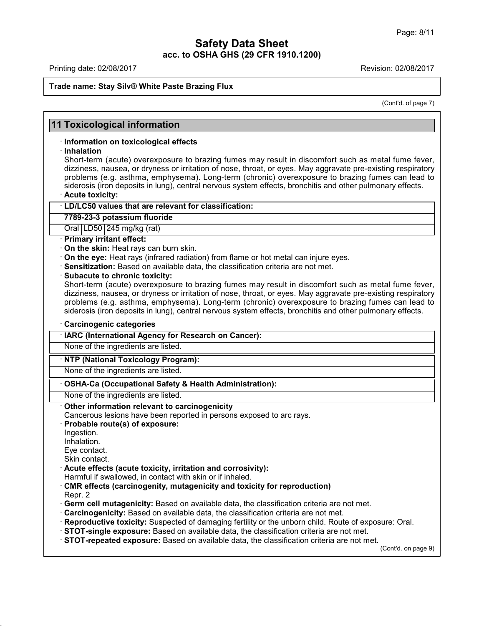Printing date: 02/08/2017 **Printing date: 02/08/2017** 

44.0

# **Trade name: Stay Silv® White Paste Brazing Flux**

(Cont'd. of page 7)

| · Information on toxicological effects<br>problems (e.g. asthma, emphysema). Long-term (chronic) overexposure to brazing fumes can lead to<br>siderosis (iron deposits in lung), central nervous system effects, bronchitis and other pulmonary effects.<br>· Acute toxicity:<br>· LD/LC50 values that are relevant for classification:<br>7789-23-3 potassium fluoride<br>Oral $ LD50 245$ mg/kg (rat)<br>· Primary irritant effect:<br>On the skin: Heat rays can burn skin.<br>On the eye: Heat rays (infrared radiation) from flame or hot metal can injure eyes.<br>· Sensitization: Based on available data, the classification criteria are not met.<br>· Subacute to chronic toxicity:<br>siderosis (iron deposits in lung), central nervous system effects, bronchitis and other pulmonary effects.<br>· Carcinogenic categories<br>· IARC (International Agency for Research on Cancer):<br>None of the ingredients are listed.<br>· NTP (National Toxicology Program):<br>None of the ingredients are listed.<br>· OSHA-Ca (Occupational Safety & Health Administration):<br>None of the ingredients are listed.<br>Other information relevant to carcinogenicity<br>Cancerous lesions have been reported in persons exposed to arc rays.<br>Probable route(s) of exposure:<br>Ingestion.<br>Inhalation.<br>Eye contact.<br>Skin contact.<br>· Acute effects (acute toxicity, irritation and corrosivity):<br>Harmful if swallowed, in contact with skin or if inhaled.<br>CMR effects (carcinogenity, mutagenicity and toxicity for reproduction)<br>· Germ cell mutagenicity: Based on available data, the classification criteria are not met.<br>Carcinogenicity: Based on available data, the classification criteria are not met.<br>Reproductive toxicity: Suspected of damaging fertility or the unborn child. Route of exposure: Oral.<br>STOT-single exposure: Based on available data, the classification criteria are not met.<br>· STOT-repeated exposure: Based on available data, the classification criteria are not met. |                    | <b>11 Toxicological information</b> |
|------------------------------------------------------------------------------------------------------------------------------------------------------------------------------------------------------------------------------------------------------------------------------------------------------------------------------------------------------------------------------------------------------------------------------------------------------------------------------------------------------------------------------------------------------------------------------------------------------------------------------------------------------------------------------------------------------------------------------------------------------------------------------------------------------------------------------------------------------------------------------------------------------------------------------------------------------------------------------------------------------------------------------------------------------------------------------------------------------------------------------------------------------------------------------------------------------------------------------------------------------------------------------------------------------------------------------------------------------------------------------------------------------------------------------------------------------------------------------------------------------------------------------------------------------------------------------------------------------------------------------------------------------------------------------------------------------------------------------------------------------------------------------------------------------------------------------------------------------------------------------------------------------------------------------------------------------------------------------------------------------------------------------------------------------|--------------------|-------------------------------------|
| Short-term (acute) overexposure to brazing fumes may result in discomfort such as metal fume fever,<br>dizziness, nausea, or dryness or irritation of nose, throat, or eyes. May aggravate pre-existing respiratory<br>Short-term (acute) overexposure to brazing fumes may result in discomfort such as metal fume fever,<br>dizziness, nausea, or dryness or irritation of nose, throat, or eyes. May aggravate pre-existing respiratory<br>problems (e.g. asthma, emphysema). Long-term (chronic) overexposure to brazing fumes can lead to                                                                                                                                                                                                                                                                                                                                                                                                                                                                                                                                                                                                                                                                                                                                                                                                                                                                                                                                                                                                                                                                                                                                                                                                                                                                                                                                                                                                                                                                                                       |                    |                                     |
|                                                                                                                                                                                                                                                                                                                                                                                                                                                                                                                                                                                                                                                                                                                                                                                                                                                                                                                                                                                                                                                                                                                                                                                                                                                                                                                                                                                                                                                                                                                                                                                                                                                                                                                                                                                                                                                                                                                                                                                                                                                      | $\cdot$ Inhalation |                                     |
|                                                                                                                                                                                                                                                                                                                                                                                                                                                                                                                                                                                                                                                                                                                                                                                                                                                                                                                                                                                                                                                                                                                                                                                                                                                                                                                                                                                                                                                                                                                                                                                                                                                                                                                                                                                                                                                                                                                                                                                                                                                      |                    |                                     |
|                                                                                                                                                                                                                                                                                                                                                                                                                                                                                                                                                                                                                                                                                                                                                                                                                                                                                                                                                                                                                                                                                                                                                                                                                                                                                                                                                                                                                                                                                                                                                                                                                                                                                                                                                                                                                                                                                                                                                                                                                                                      |                    |                                     |
|                                                                                                                                                                                                                                                                                                                                                                                                                                                                                                                                                                                                                                                                                                                                                                                                                                                                                                                                                                                                                                                                                                                                                                                                                                                                                                                                                                                                                                                                                                                                                                                                                                                                                                                                                                                                                                                                                                                                                                                                                                                      |                    |                                     |
|                                                                                                                                                                                                                                                                                                                                                                                                                                                                                                                                                                                                                                                                                                                                                                                                                                                                                                                                                                                                                                                                                                                                                                                                                                                                                                                                                                                                                                                                                                                                                                                                                                                                                                                                                                                                                                                                                                                                                                                                                                                      |                    |                                     |
|                                                                                                                                                                                                                                                                                                                                                                                                                                                                                                                                                                                                                                                                                                                                                                                                                                                                                                                                                                                                                                                                                                                                                                                                                                                                                                                                                                                                                                                                                                                                                                                                                                                                                                                                                                                                                                                                                                                                                                                                                                                      |                    |                                     |
|                                                                                                                                                                                                                                                                                                                                                                                                                                                                                                                                                                                                                                                                                                                                                                                                                                                                                                                                                                                                                                                                                                                                                                                                                                                                                                                                                                                                                                                                                                                                                                                                                                                                                                                                                                                                                                                                                                                                                                                                                                                      |                    |                                     |
|                                                                                                                                                                                                                                                                                                                                                                                                                                                                                                                                                                                                                                                                                                                                                                                                                                                                                                                                                                                                                                                                                                                                                                                                                                                                                                                                                                                                                                                                                                                                                                                                                                                                                                                                                                                                                                                                                                                                                                                                                                                      |                    |                                     |
|                                                                                                                                                                                                                                                                                                                                                                                                                                                                                                                                                                                                                                                                                                                                                                                                                                                                                                                                                                                                                                                                                                                                                                                                                                                                                                                                                                                                                                                                                                                                                                                                                                                                                                                                                                                                                                                                                                                                                                                                                                                      |                    |                                     |
|                                                                                                                                                                                                                                                                                                                                                                                                                                                                                                                                                                                                                                                                                                                                                                                                                                                                                                                                                                                                                                                                                                                                                                                                                                                                                                                                                                                                                                                                                                                                                                                                                                                                                                                                                                                                                                                                                                                                                                                                                                                      |                    |                                     |
|                                                                                                                                                                                                                                                                                                                                                                                                                                                                                                                                                                                                                                                                                                                                                                                                                                                                                                                                                                                                                                                                                                                                                                                                                                                                                                                                                                                                                                                                                                                                                                                                                                                                                                                                                                                                                                                                                                                                                                                                                                                      |                    |                                     |
|                                                                                                                                                                                                                                                                                                                                                                                                                                                                                                                                                                                                                                                                                                                                                                                                                                                                                                                                                                                                                                                                                                                                                                                                                                                                                                                                                                                                                                                                                                                                                                                                                                                                                                                                                                                                                                                                                                                                                                                                                                                      |                    |                                     |
|                                                                                                                                                                                                                                                                                                                                                                                                                                                                                                                                                                                                                                                                                                                                                                                                                                                                                                                                                                                                                                                                                                                                                                                                                                                                                                                                                                                                                                                                                                                                                                                                                                                                                                                                                                                                                                                                                                                                                                                                                                                      |                    |                                     |
|                                                                                                                                                                                                                                                                                                                                                                                                                                                                                                                                                                                                                                                                                                                                                                                                                                                                                                                                                                                                                                                                                                                                                                                                                                                                                                                                                                                                                                                                                                                                                                                                                                                                                                                                                                                                                                                                                                                                                                                                                                                      |                    |                                     |
|                                                                                                                                                                                                                                                                                                                                                                                                                                                                                                                                                                                                                                                                                                                                                                                                                                                                                                                                                                                                                                                                                                                                                                                                                                                                                                                                                                                                                                                                                                                                                                                                                                                                                                                                                                                                                                                                                                                                                                                                                                                      |                    |                                     |
|                                                                                                                                                                                                                                                                                                                                                                                                                                                                                                                                                                                                                                                                                                                                                                                                                                                                                                                                                                                                                                                                                                                                                                                                                                                                                                                                                                                                                                                                                                                                                                                                                                                                                                                                                                                                                                                                                                                                                                                                                                                      |                    |                                     |
|                                                                                                                                                                                                                                                                                                                                                                                                                                                                                                                                                                                                                                                                                                                                                                                                                                                                                                                                                                                                                                                                                                                                                                                                                                                                                                                                                                                                                                                                                                                                                                                                                                                                                                                                                                                                                                                                                                                                                                                                                                                      |                    |                                     |
|                                                                                                                                                                                                                                                                                                                                                                                                                                                                                                                                                                                                                                                                                                                                                                                                                                                                                                                                                                                                                                                                                                                                                                                                                                                                                                                                                                                                                                                                                                                                                                                                                                                                                                                                                                                                                                                                                                                                                                                                                                                      |                    |                                     |
|                                                                                                                                                                                                                                                                                                                                                                                                                                                                                                                                                                                                                                                                                                                                                                                                                                                                                                                                                                                                                                                                                                                                                                                                                                                                                                                                                                                                                                                                                                                                                                                                                                                                                                                                                                                                                                                                                                                                                                                                                                                      |                    |                                     |
|                                                                                                                                                                                                                                                                                                                                                                                                                                                                                                                                                                                                                                                                                                                                                                                                                                                                                                                                                                                                                                                                                                                                                                                                                                                                                                                                                                                                                                                                                                                                                                                                                                                                                                                                                                                                                                                                                                                                                                                                                                                      |                    |                                     |
|                                                                                                                                                                                                                                                                                                                                                                                                                                                                                                                                                                                                                                                                                                                                                                                                                                                                                                                                                                                                                                                                                                                                                                                                                                                                                                                                                                                                                                                                                                                                                                                                                                                                                                                                                                                                                                                                                                                                                                                                                                                      |                    |                                     |
|                                                                                                                                                                                                                                                                                                                                                                                                                                                                                                                                                                                                                                                                                                                                                                                                                                                                                                                                                                                                                                                                                                                                                                                                                                                                                                                                                                                                                                                                                                                                                                                                                                                                                                                                                                                                                                                                                                                                                                                                                                                      |                    |                                     |
|                                                                                                                                                                                                                                                                                                                                                                                                                                                                                                                                                                                                                                                                                                                                                                                                                                                                                                                                                                                                                                                                                                                                                                                                                                                                                                                                                                                                                                                                                                                                                                                                                                                                                                                                                                                                                                                                                                                                                                                                                                                      |                    |                                     |
|                                                                                                                                                                                                                                                                                                                                                                                                                                                                                                                                                                                                                                                                                                                                                                                                                                                                                                                                                                                                                                                                                                                                                                                                                                                                                                                                                                                                                                                                                                                                                                                                                                                                                                                                                                                                                                                                                                                                                                                                                                                      |                    |                                     |
|                                                                                                                                                                                                                                                                                                                                                                                                                                                                                                                                                                                                                                                                                                                                                                                                                                                                                                                                                                                                                                                                                                                                                                                                                                                                                                                                                                                                                                                                                                                                                                                                                                                                                                                                                                                                                                                                                                                                                                                                                                                      |                    |                                     |
|                                                                                                                                                                                                                                                                                                                                                                                                                                                                                                                                                                                                                                                                                                                                                                                                                                                                                                                                                                                                                                                                                                                                                                                                                                                                                                                                                                                                                                                                                                                                                                                                                                                                                                                                                                                                                                                                                                                                                                                                                                                      |                    |                                     |
|                                                                                                                                                                                                                                                                                                                                                                                                                                                                                                                                                                                                                                                                                                                                                                                                                                                                                                                                                                                                                                                                                                                                                                                                                                                                                                                                                                                                                                                                                                                                                                                                                                                                                                                                                                                                                                                                                                                                                                                                                                                      |                    |                                     |
|                                                                                                                                                                                                                                                                                                                                                                                                                                                                                                                                                                                                                                                                                                                                                                                                                                                                                                                                                                                                                                                                                                                                                                                                                                                                                                                                                                                                                                                                                                                                                                                                                                                                                                                                                                                                                                                                                                                                                                                                                                                      |                    |                                     |
|                                                                                                                                                                                                                                                                                                                                                                                                                                                                                                                                                                                                                                                                                                                                                                                                                                                                                                                                                                                                                                                                                                                                                                                                                                                                                                                                                                                                                                                                                                                                                                                                                                                                                                                                                                                                                                                                                                                                                                                                                                                      |                    |                                     |
|                                                                                                                                                                                                                                                                                                                                                                                                                                                                                                                                                                                                                                                                                                                                                                                                                                                                                                                                                                                                                                                                                                                                                                                                                                                                                                                                                                                                                                                                                                                                                                                                                                                                                                                                                                                                                                                                                                                                                                                                                                                      |                    |                                     |
|                                                                                                                                                                                                                                                                                                                                                                                                                                                                                                                                                                                                                                                                                                                                                                                                                                                                                                                                                                                                                                                                                                                                                                                                                                                                                                                                                                                                                                                                                                                                                                                                                                                                                                                                                                                                                                                                                                                                                                                                                                                      |                    |                                     |
|                                                                                                                                                                                                                                                                                                                                                                                                                                                                                                                                                                                                                                                                                                                                                                                                                                                                                                                                                                                                                                                                                                                                                                                                                                                                                                                                                                                                                                                                                                                                                                                                                                                                                                                                                                                                                                                                                                                                                                                                                                                      |                    |                                     |
|                                                                                                                                                                                                                                                                                                                                                                                                                                                                                                                                                                                                                                                                                                                                                                                                                                                                                                                                                                                                                                                                                                                                                                                                                                                                                                                                                                                                                                                                                                                                                                                                                                                                                                                                                                                                                                                                                                                                                                                                                                                      |                    |                                     |
|                                                                                                                                                                                                                                                                                                                                                                                                                                                                                                                                                                                                                                                                                                                                                                                                                                                                                                                                                                                                                                                                                                                                                                                                                                                                                                                                                                                                                                                                                                                                                                                                                                                                                                                                                                                                                                                                                                                                                                                                                                                      |                    |                                     |
|                                                                                                                                                                                                                                                                                                                                                                                                                                                                                                                                                                                                                                                                                                                                                                                                                                                                                                                                                                                                                                                                                                                                                                                                                                                                                                                                                                                                                                                                                                                                                                                                                                                                                                                                                                                                                                                                                                                                                                                                                                                      | Repr. 2            |                                     |
|                                                                                                                                                                                                                                                                                                                                                                                                                                                                                                                                                                                                                                                                                                                                                                                                                                                                                                                                                                                                                                                                                                                                                                                                                                                                                                                                                                                                                                                                                                                                                                                                                                                                                                                                                                                                                                                                                                                                                                                                                                                      |                    |                                     |
|                                                                                                                                                                                                                                                                                                                                                                                                                                                                                                                                                                                                                                                                                                                                                                                                                                                                                                                                                                                                                                                                                                                                                                                                                                                                                                                                                                                                                                                                                                                                                                                                                                                                                                                                                                                                                                                                                                                                                                                                                                                      |                    |                                     |
|                                                                                                                                                                                                                                                                                                                                                                                                                                                                                                                                                                                                                                                                                                                                                                                                                                                                                                                                                                                                                                                                                                                                                                                                                                                                                                                                                                                                                                                                                                                                                                                                                                                                                                                                                                                                                                                                                                                                                                                                                                                      |                    |                                     |
|                                                                                                                                                                                                                                                                                                                                                                                                                                                                                                                                                                                                                                                                                                                                                                                                                                                                                                                                                                                                                                                                                                                                                                                                                                                                                                                                                                                                                                                                                                                                                                                                                                                                                                                                                                                                                                                                                                                                                                                                                                                      |                    |                                     |
|                                                                                                                                                                                                                                                                                                                                                                                                                                                                                                                                                                                                                                                                                                                                                                                                                                                                                                                                                                                                                                                                                                                                                                                                                                                                                                                                                                                                                                                                                                                                                                                                                                                                                                                                                                                                                                                                                                                                                                                                                                                      |                    |                                     |
|                                                                                                                                                                                                                                                                                                                                                                                                                                                                                                                                                                                                                                                                                                                                                                                                                                                                                                                                                                                                                                                                                                                                                                                                                                                                                                                                                                                                                                                                                                                                                                                                                                                                                                                                                                                                                                                                                                                                                                                                                                                      |                    | (Cont'd. on page 9)                 |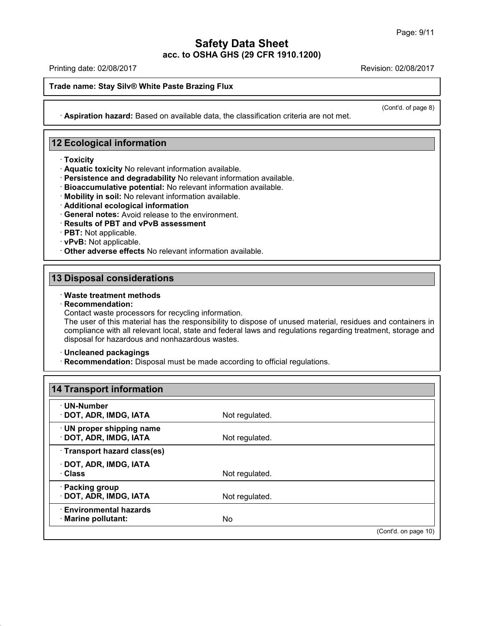Printing date: 02/08/2017 Revision: 02/08/2017

**Trade name: Stay Silv® White Paste Brazing Flux**

(Cont'd. of page 8)

**12 Ecological information**

- · **Toxicity**
- · **Aquatic toxicity** No relevant information available.
- · **Persistence and degradability** No relevant information available.

· **Aspiration hazard:** Based on available data, the classification criteria are not met.

- · **Bioaccumulative potential:** No relevant information available.
- · **Mobility in soil:** No relevant information available.
- · **Additional ecological information**
- · **General notes:** Avoid release to the environment.
- · **Results of PBT and vPvB assessment**
- · **PBT:** Not applicable.
- · **vPvB:** Not applicable.
- · **Other adverse effects** No relevant information available.

## **13 Disposal considerations**

## · **Waste treatment methods**

· **Recommendation:**

Contact waste processors for recycling information.

The user of this material has the responsibility to dispose of unused material, residues and containers in compliance with all relevant local, state and federal laws and regulations regarding treatment, storage and disposal for hazardous and nonhazardous wastes.

#### · **Uncleaned packagings**

44.0

· **Recommendation:** Disposal must be made according to official regulations.

| <b>14 Transport information</b>                     |                |                      |
|-----------------------------------------------------|----------------|----------------------|
| · UN-Number<br>· DOT, ADR, IMDG, IATA               | Not regulated. |                      |
| · UN proper shipping name<br>· DOT, ADR, IMDG, IATA | Not regulated. |                      |
| · Transport hazard class(es)                        |                |                      |
| · DOT, ADR, IMDG, IATA                              |                |                      |
| · Class                                             | Not regulated. |                      |
| · Packing group                                     |                |                      |
| · DOT, ADR, IMDG, IATA                              | Not regulated. |                      |
| <b>Environmental hazards</b>                        |                |                      |
| · Marine pollutant:                                 | No.            |                      |
|                                                     |                | (Cont'd. on page 10) |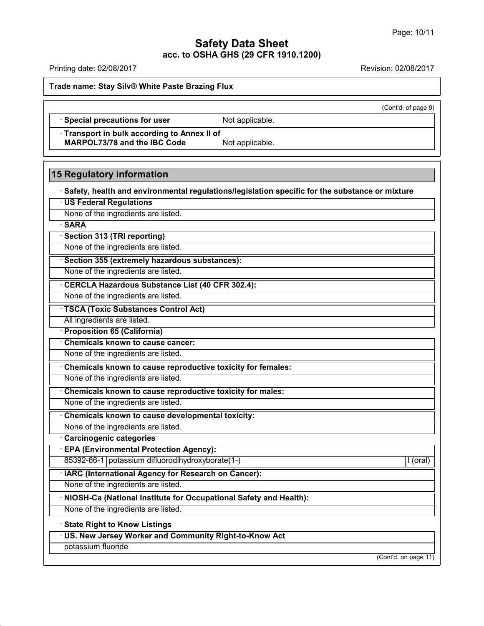Printing date: 02/08/2017 Revision: 02/08/2017

**Trade name: Stay Silv® White Paste Brazing Flux**

(Cont'd. of page 9)

· **Special precautions for user** Not applicable.

· **Transport in bulk according to Annex II of MARPOL73/78** and the IBC Code Not applicable.

# **15 Regulatory information**

· **Safety, health and environmental regulations/legislation specific for the substance or mixture**

· **US Federal Regulations**

None of the ingredients are listed.

· **SARA**

· **Section 313 (TRI reporting)**

None of the ingredients are listed.

· **Section 355 (extremely hazardous substances):**

None of the ingredients are listed.

· **CERCLA Hazardous Substance List (40 CFR 302.4):**

None of the ingredients are listed.

· **TSCA (Toxic Substances Control Act)**

All ingredients are listed.

· **Proposition 65 (California)**

· **Chemicals known to cause cancer:**

None of the ingredients are listed.

· **Chemicals known to cause reproductive toxicity for females:**

None of the ingredients are listed.

· **Chemicals known to cause reproductive toxicity for males:**

None of the ingredients are listed.

· **Chemicals known to cause developmental toxicity:**

None of the ingredients are listed.

· **Carcinogenic categories**

· **EPA (Environmental Protection Agency):**

85392-66-1 potassium difluorodihydroxyborate(1-) [I (oral) | I (oral)

· **IARC (International Agency for Research on Cancer):**

None of the ingredients are listed.

· **NIOSH-Ca (National Institute for Occupational Safety and Health):**

None of the ingredients are listed.

· **State Right to Know Listings**

· **US. New Jersey Worker and Community Right-to-Know Act**

potassium fluoride

44.0

(Cont'd. on page 11)